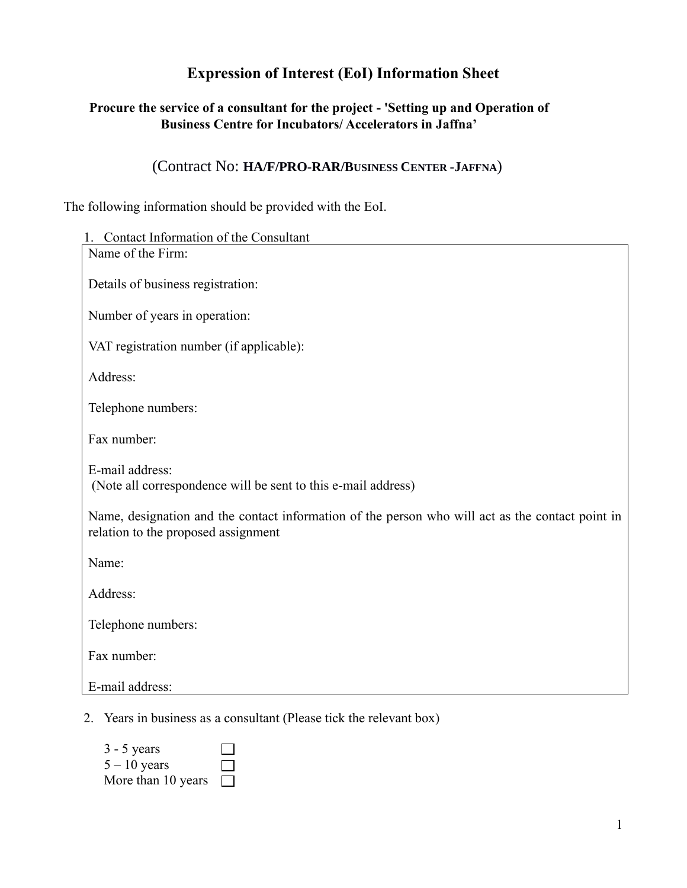# **Expression of Interest (EoI) Information Sheet**

### **Procure the service of a consultant for the project - 'Setting up and Operation of Business Centre for Incubators/ Accelerators in Jaffna'**

## (Contract No: **HA/F/PRO-RAR/BUSINESS CENTER -JAFFNA**)

The following information should be provided with the EoI.

| 1. Contact Information of the Consultant                                                                                                |
|-----------------------------------------------------------------------------------------------------------------------------------------|
| Name of the Firm:                                                                                                                       |
| Details of business registration:                                                                                                       |
| Number of years in operation:                                                                                                           |
| VAT registration number (if applicable):                                                                                                |
| Address:                                                                                                                                |
| Telephone numbers:                                                                                                                      |
| Fax number:                                                                                                                             |
| E-mail address:<br>(Note all correspondence will be sent to this e-mail address)                                                        |
| Name, designation and the contact information of the person who will act as the contact point in<br>relation to the proposed assignment |
| Name:                                                                                                                                   |
| Address:                                                                                                                                |
| Telephone numbers:                                                                                                                      |
| Fax number:                                                                                                                             |
| E-mail address:                                                                                                                         |
| 2. Years in business as a consultant (Please tick the relevant box)                                                                     |

| $3 - 5$ years      | $\mathbf{I}$ |
|--------------------|--------------|
| $5 - 10$ years     | $\mathbf{I}$ |
| More than 10 years | $\perp$      |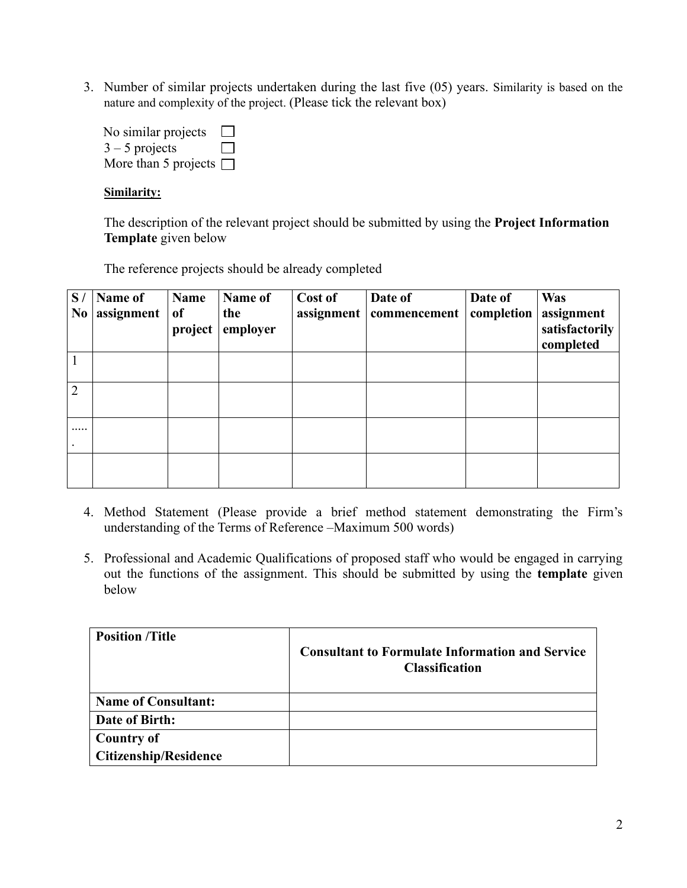3. Number of similar projects undertaken during the last five (05) years. Similarity is based on the nature and complexity of the project. (Please tick the relevant box)

No similar projects  $\Box$  $3 - 5$  projects  $\Box$ More than 5 projects  $\Box$ 

#### **Similarity:**

The description of the relevant project should be submitted by using the **Project Information Template** given below

The reference projects should be already completed

| S/<br>N <sub>0</sub> | <b>Name of</b><br>assignment | <b>Name</b><br><sub>of</sub><br>project | Name of<br>the<br>employer | Cost of<br>assignment | Date of<br>commencement | Date of<br>completion | <b>Was</b><br>assignment<br>satisfactorily<br>completed |
|----------------------|------------------------------|-----------------------------------------|----------------------------|-----------------------|-------------------------|-----------------------|---------------------------------------------------------|
|                      |                              |                                         |                            |                       |                         |                       |                                                         |
| $\overline{2}$       |                              |                                         |                            |                       |                         |                       |                                                         |
|                      |                              |                                         |                            |                       |                         |                       |                                                         |
|                      |                              |                                         |                            |                       |                         |                       |                                                         |

- 4. Method Statement (Please provide a brief method statement demonstrating the Firm's understanding of the Terms of Reference –Maximum 500 words)
- 5. Professional and Academic Qualifications of proposed staff who would be engaged in carrying out the functions of the assignment. This should be submitted by using the **template** given below

| <b>Position /Title</b>       | <b>Consultant to Formulate Information and Service</b><br><b>Classification</b> |
|------------------------------|---------------------------------------------------------------------------------|
| <b>Name of Consultant:</b>   |                                                                                 |
| Date of Birth:               |                                                                                 |
| <b>Country of</b>            |                                                                                 |
| <b>Citizenship/Residence</b> |                                                                                 |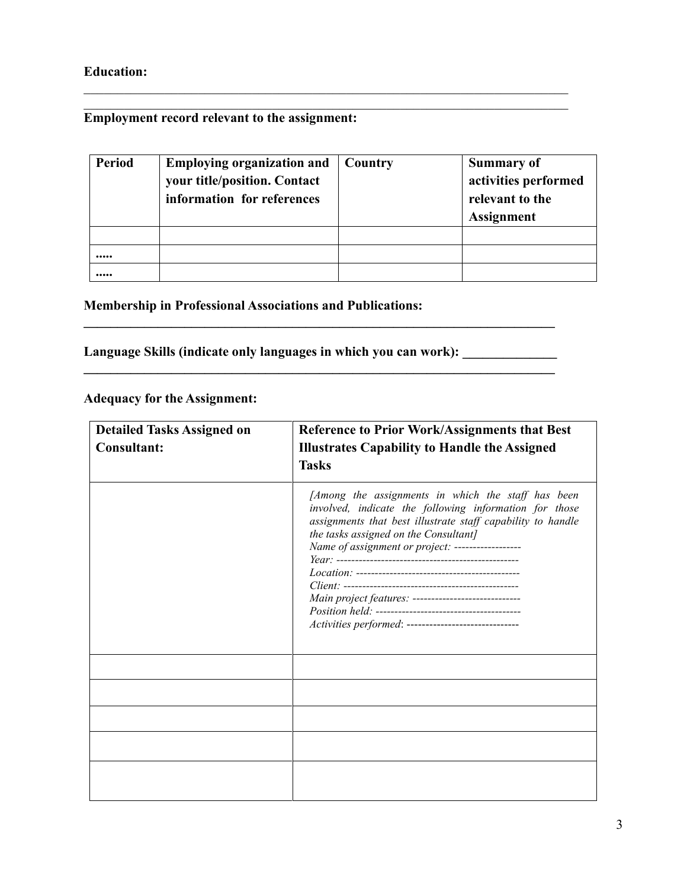## **Education:**

### **Employment record relevant to the assignment:**

| Period | <b>Employing organization and</b><br>your title/position. Contact<br>information for references | Country | <b>Summary of</b><br>activities performed<br>relevant to the<br><b>Assignment</b> |
|--------|-------------------------------------------------------------------------------------------------|---------|-----------------------------------------------------------------------------------|
|        |                                                                                                 |         |                                                                                   |
|        |                                                                                                 |         |                                                                                   |
|        |                                                                                                 |         |                                                                                   |

**\_\_\_\_\_\_\_\_\_\_\_\_\_\_\_\_\_\_\_\_\_\_\_\_\_\_\_\_\_\_\_\_\_\_\_\_\_\_\_\_\_\_\_\_\_\_\_\_\_\_\_\_\_\_\_\_\_\_\_\_\_\_\_\_\_\_\_\_\_\_**

### **Membership in Professional Associations and Publications:**

Language Skills (indicate only languages in which you can work): \_\_\_\_\_\_\_\_\_\_\_\_\_\_\_

 $\mathcal{L} = \{ \mathcal{L} \mid \mathcal{L} \in \mathcal{L} \}$ 

### **Adequacy for the Assignment:**

| <b>Detailed Tasks Assigned on</b><br><b>Consultant:</b> | <b>Reference to Prior Work/Assignments that Best</b><br><b>Illustrates Capability to Handle the Assigned</b><br><b>Tasks</b>                                                                                                                                                                                                                                                              |
|---------------------------------------------------------|-------------------------------------------------------------------------------------------------------------------------------------------------------------------------------------------------------------------------------------------------------------------------------------------------------------------------------------------------------------------------------------------|
|                                                         | [Among the assignments in which the staff has been<br>involved, indicate the following information for those<br>assignments that best illustrate staff capability to handle<br>the tasks assigned on the Consultant]<br>Name of assignment or project: ------------------<br>Main project features: ----------------------------<br>Activities performed: ------------------------------- |
|                                                         |                                                                                                                                                                                                                                                                                                                                                                                           |
|                                                         |                                                                                                                                                                                                                                                                                                                                                                                           |
|                                                         |                                                                                                                                                                                                                                                                                                                                                                                           |
|                                                         |                                                                                                                                                                                                                                                                                                                                                                                           |
|                                                         |                                                                                                                                                                                                                                                                                                                                                                                           |